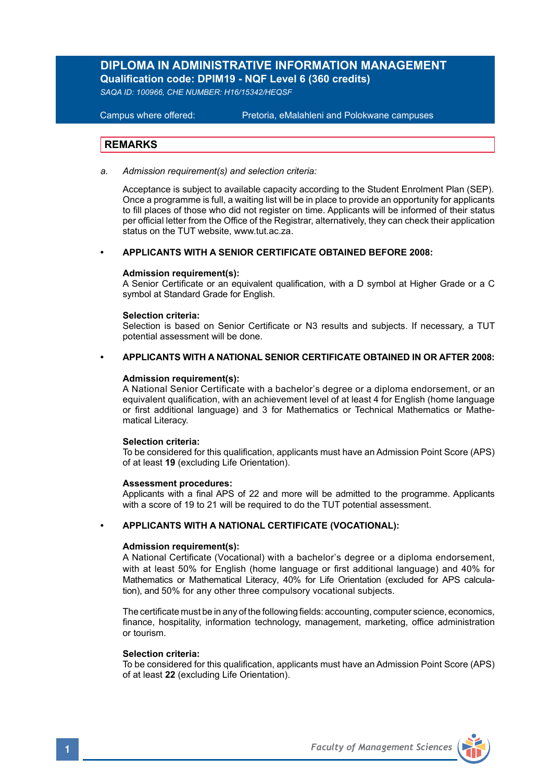## **DIPLOMA IN ADMINISTRATIVE INFORMATION MANAGEMENT Qualification code: DPIM19 - NQF Level 6 (360 credits)**

*SAQA ID: 100966, CHE NUMBER: H16/15342/HEQSF* 

#### **Campus where offered:**

Pretoria, eMalahleni and Polokwane campuses

### **REMARKS**

*a. Admission requirement(s) and selection criteria:*

Acceptance is subject to available capacity according to the Student Enrolment Plan (SEP). Once a programme is full, a waiting list will be in place to provide an opportunity for applicants to fill places of those who did not register on time. Applicants will be informed of their status per official letter from the Office of the Registrar, alternatively, they can check their application status on the TUT website, www.tut.ac.za.

#### **• APPLICANTS WITH A SENIOR CERTIFICATE OBTAINED BEFORE 2008:**

### **Admission requirement(s):**

A Senior Certificate or an equivalent qualification, with a D symbol at Higher Grade or a C symbol at Standard Grade for English.

#### **Selection criteria:**

Selection is based on Senior Certificate or N3 results and subjects. If necessary, a TUT potential assessment will be done.

### **• APPLICANTS WITH A NATIONAL SENIOR CERTIFICATE OBTAINED IN OR AFTER 2008:**

### **Admission requirement(s):**

 A National Senior Certificate with a bachelor's degree or a diploma endorsement, or an equivalent qualification, with an achievement level of at least 4 for English (home language or first additional language) and 3 for Mathematics or Technical Mathematics or Mathe matical Literacy.

#### **Selection criteria:**

To be considered for this qualification, applicants must have an Admission Point Score (APS) of at least **19** (excluding Life Orientation).

#### **Assessment procedures:**

Applicants with a final APS of 22 and more will be admitted to the programme. Applicants with a score of 19 to 21 will be required to do the TUT potential assessment.

#### **• APPLICANTS WITH A NATIONAL CERTIFICATE (VOCATIONAL):**

#### **Admission requirement(s):**

A National Certificate (Vocational) with a bachelor's degree or a diploma endorsement, with at least 50% for English (home language or first additional language) and 40% for Mathematics or Mathematical Literacy, 40% for Life Orientation (excluded for APS calculation), and 50% for any other three compulsory vocational subjects.

The certificate must be in any of the following fields: accounting, computer science, economics, finance, hospitality, information technology, management, marketing, office administration or tourism.

### **Selection criteria:**

To be considered for this qualification, applicants must have an Admission Point Score (APS) of at least **22** (excluding Life Orientation).

**1** *Faculty of Management Sciences*

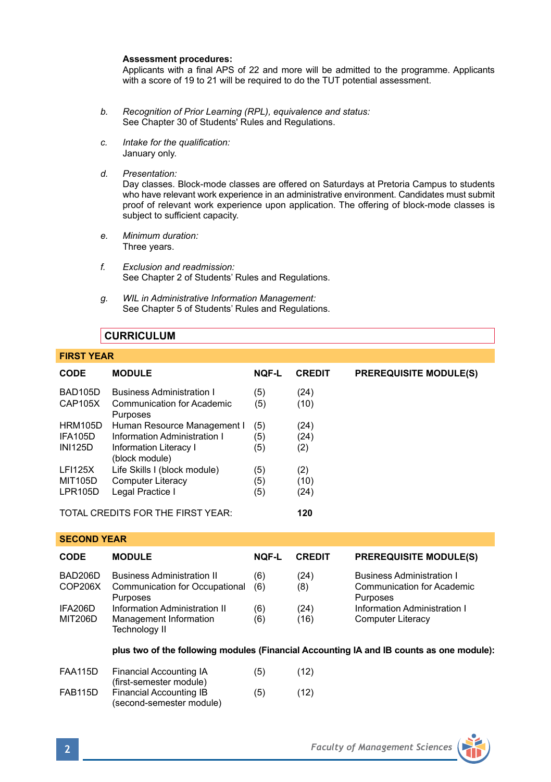#### **Assessment procedures:**

Applicants with a final APS of 22 and more will be admitted to the programme. Applicants with a score of 19 to 21 will be required to do the TUT potential assessment.

- *b. Recognition of Prior Learning (RPL), equivalence and status:* See Chapter 30 of Students' Rules and Regulations.
- *c. Intake for the qualification:* January only.
- *d. Presentation:*

Day classes. Block-mode classes are offered on Saturdays at Pretoria Campus to students who have relevant work experience in an administrative environment. Candidates must submit proof of relevant work experience upon application. The offering of block-mode classes is subject to sufficient capacity.

- *e. Minimum duration:* Three years.
- *f. Exclusion and readmission:* See Chapter 2 of Students' Rules and Regulations.
- *g. WIL in Administrative Information Management:* See Chapter 5 of Students' Rules and Regulations.

## **CURRICULUM**

## **FIRST YEAR**

| <b>CODE</b>                              | <b>MODULE</b>                            | <b>NOF-L</b> | <b>CREDIT</b> | <b>PREREQUISITE MODULE(S)</b> |
|------------------------------------------|------------------------------------------|--------------|---------------|-------------------------------|
| BAD105D                                  | <b>Business Administration I</b>         | (5)          | (24)          |                               |
| CAP105X                                  | Communication for Academic<br>Purposes   | (5)          | (10)          |                               |
| <b>HRM105D</b>                           | Human Resource Management I              | (5)          | (24)          |                               |
| IFA105D                                  | Information Administration I             | (5)          | (24)          |                               |
| <b>INI125D</b>                           | Information Literacy I<br>(block module) | (5)          | (2)           |                               |
| <b>LFI125X</b>                           | Life Skills I (block module)             | (5)          | (2)           |                               |
| <b>MIT105D</b>                           | Computer Literacy                        | (5)          | (10)          |                               |
| LPR105D                                  | Legal Practice I                         | (5)          | (24)          |                               |
| TOTAL CREDITS FOR THE FIRST YEAR.<br>120 |                                          |              |               |                               |

**SECOND YEAR** 

| <b>CODE</b>               | <b>MODULE</b>                                                                   | <b>NOF-L</b> | <b>CREDIT</b> | <b>PREREQUISITE MODULE(S)</b>                                                     |
|---------------------------|---------------------------------------------------------------------------------|--------------|---------------|-----------------------------------------------------------------------------------|
| BAD206D<br>COP206X        | <b>Business Administration II</b><br>Communication for Occupational<br>Purposes | (6)<br>(6)   | (24)<br>(8)   | <b>Business Administration I</b><br><b>Communication for Academic</b><br>Purposes |
| IFA206D<br><b>MIT206D</b> | Information Administration II<br>Management Information<br>Technology II        | (6)<br>(6)   | (24)<br>(16)  | Information Administration I<br><b>Computer Literacy</b>                          |

### **plus two of the following modules (Financial Accounting IA and IB counts as one module):**

| <b>FAA115D</b> | Financial Accounting IA  | (5) | (12) |
|----------------|--------------------------|-----|------|
|                | (first-semester module)  |     |      |
| FAB115D        | Financial Accounting IB  | (5) | (12) |
|                | (second-semester module) |     |      |

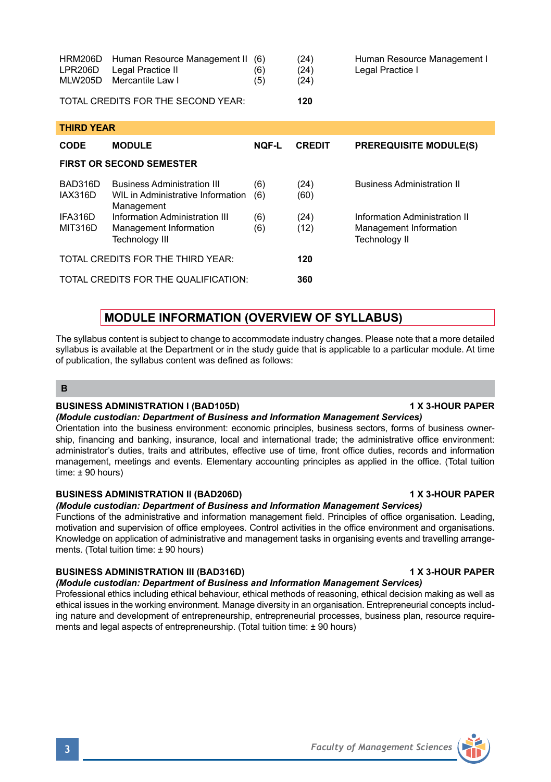| <b>HRM206D</b><br>LPR206D<br><b>MLW205D</b> | Human Resource Management II<br>Legal Practice II<br>Mercantile Law I | (6)<br>(6)<br>(5) | (24)<br>(24)<br>(24) | Human Resource Management I<br>Legal Practice I |  |
|---------------------------------------------|-----------------------------------------------------------------------|-------------------|----------------------|-------------------------------------------------|--|
|                                             | TOTAL CREDITS FOR THE SECOND YEAR:                                    |                   | 120                  |                                                 |  |
| <b>THIRD YEAR</b>                           |                                                                       |                   |                      |                                                 |  |
| <b>CODE</b>                                 | <b>MODULE</b>                                                         | <b>NOF-L</b>      | <b>CREDIT</b>        | <b>PREREQUISITE MODULE(S)</b>                   |  |
| <b>FIRST OR SECOND SEMESTER</b>             |                                                                       |                   |                      |                                                 |  |
| BAD316D                                     | <b>Business Administration III</b>                                    | (6)               | (24)                 | <b>Business Administration II</b>               |  |
| IAX316D                                     | WIL in Administrative Information<br>Management                       | (6)               | (60)                 |                                                 |  |
| IFA316D                                     | Information Administration III                                        | (6)               | (24)                 | Information Administration II                   |  |
| <b>MIT316D</b>                              | Management Information                                                | (6)               | (12)                 | Management Information                          |  |

## **MODULE INFORMATION (OVERVIEW OF SYLLABUS)**

Technology III and the contract of the Technology II

TOTAL CREDITS FOR THE THIRD YEAR: **120** TOTAL CREDITS FOR THE QUALIFICATION: **360**

The syllabus content is subject to change to accommodate industry changes. Please note that a more detailed syllabus is available at the Department or in the study guide that is applicable to a particular module. At time of publication, the syllabus content was defined as follows:

## **B**

## **BUSINESS ADMINISTRATION I (BAD105D) 1 X 3-HOUR PAPER**

*(Module custodian: Department of Business and Information Management Services)* Orientation into the business environment: economic principles, business sectors, forms of business ownership, financing and banking, insurance, local and international trade; the administrative office environment: administrator's duties, traits and attributes, effective use of time, front office duties, records and information management, meetings and events. Elementary accounting principles as applied in the office. (Total tuition time: ± 90 hours)

## BUSINESS ADMINISTRATION II (BAD206D) **1 1 S** 1 X 3-HOUR PAPER

*(Module custodian: Department of Business and Information Management Services)*

Functions of the administrative and information management field. Principles of office organisation. Leading, motivation and supervision of office employees. Control activities in the office environment and organisations. Knowledge on application of administrative and management tasks in organising events and travelling arrangements. (Total tuition time: ± 90 hours)

## BUSINESS ADMINISTRATION III (BAD316D) **1 X 3-HOUR PAPER**

*(Module custodian: Department of Business and Information Management Services)* Professional ethics including ethical behaviour, ethical methods of reasoning, ethical decision making as well as ethical issues in the working environment. Manage diversity in an organisation. Entrepreneurial concepts including nature and development of entrepreneurship, entrepreneurial processes, business plan, resource requirements and legal aspects of entrepreneurship. (Total tuition time: ± 90 hours)

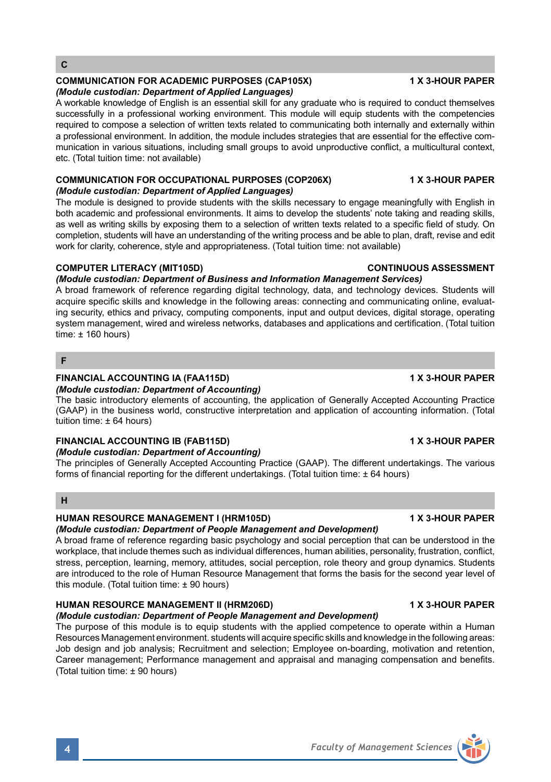## **COMMUNICATION FOR ACADEMIC PURPOSES (CAP105X) 4 X 3-HOUR PAPER**

### *(Module custodian: Department of Applied Languages)*

A workable knowledge of English is an essential skill for any graduate who is required to conduct themselves successfully in a professional working environment. This module will equip students with the competencies required to compose a selection of written texts related to communicating both internally and externally within a professional environment. In addition, the module includes strategies that are essential for the effective communication in various situations, including small groups to avoid unproductive conflict, a multicultural context, etc. (Total tuition time: not available)

### **COMMUNICATION FOR OCCUPATIONAL PURPOSES (COP206X) 1 X 3-HOUR PAPER** *(Module custodian: Department of Applied Languages)*

The module is designed to provide students with the skills necessary to engage meaningfully with English in both academic and professional environments. It aims to develop the students' note taking and reading skills, as well as writing skills by exposing them to a selection of written texts related to a specific field of study. On completion, students will have an understanding of the writing process and be able to plan, draft, revise and edit work for clarity, coherence, style and appropriateness. (Total tuition time: not available)

## **COMPUTER LITERACY (MIT105D) CONTINUOUS ASSESSMENT**

## *(Module custodian: Department of Business and Information Management Services)*

A broad framework of reference regarding digital technology, data, and technology devices. Students will acquire specific skills and knowledge in the following areas: connecting and communicating online, evaluating security, ethics and privacy, computing components, input and output devices, digital storage, operating system management, wired and wireless networks, databases and applications and certification. (Total tuition time: ± 160 hours)

## **F**

## **FINANCIAL ACCOUNTING IA (FAA115D) 1 X 3-HOUR PAPER**

## *(Module custodian: Department of Accounting)*

The basic introductory elements of accounting, the application of Generally Accepted Accounting Practice (GAAP) in the business world, constructive interpretation and application of accounting information. (Total tuition time: ± 64 hours)

#### **FINANCIAL ACCOUNTING IB (FAB115D) 1 X 3-HOUR PAPER** *(Module custodian: Department of Accounting)*

The principles of Generally Accepted Accounting Practice (GAAP). The different undertakings. The various forms of financial reporting for the different undertakings. (Total tuition time: ± 64 hours)

## **H**

## **HUMAN RESOURCE MANAGEMENT I (HRM105D) 1 X 3-HOUR PAPER**

## *(Module custodian: Department of People Management and Development)*

A broad frame of reference regarding basic psychology and social perception that can be understood in the workplace, that include themes such as individual differences, human abilities, personality, frustration, conflict, stress, perception, learning, memory, attitudes, social perception, role theory and group dynamics. Students are introduced to the role of Human Resource Management that forms the basis for the second year level of this module. (Total tuition time: ± 90 hours)

## **HUMAN RESOURCE MANAGEMENT II (HRM206D) 1 X 3-HOUR PAPER**

*(Module custodian: Department of People Management and Development)* The purpose of this module is to equip students with the applied competence to operate within a Human Resources Management environment. students will acquire specific skills and knowledge in the following areas: Job design and job analysis; Recruitment and selection; Employee on-boarding, motivation and retention, Career management; Performance management and appraisal and managing compensation and benefits. (Total tuition time: ± 90 hours)

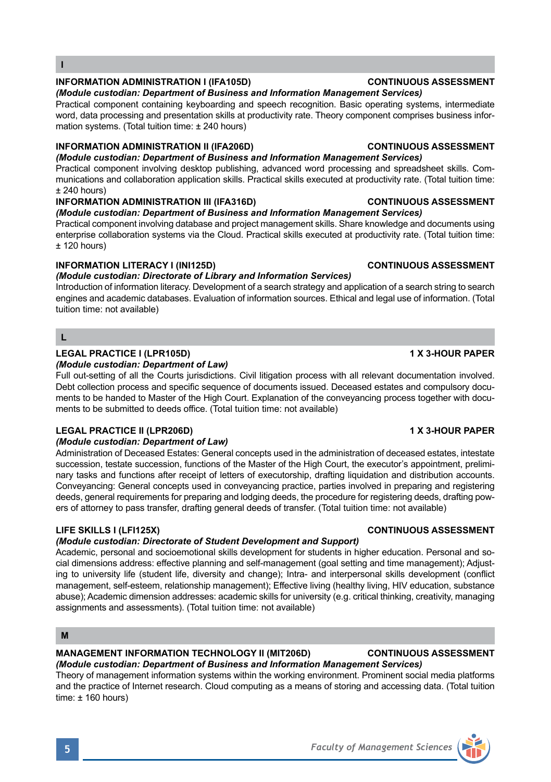## **INFORMATION ADMINISTRATION I (IFA105D) CONTINUOUS ASSESSMENT**

*(Module custodian: Department of Business and Information Management Services)*

Practical component containing keyboarding and speech recognition. Basic operating systems, intermediate word, data processing and presentation skills at productivity rate. Theory component comprises business information systems. (Total tuition time: ± 240 hours)

## **INFORMATION ADMINISTRATION II (IFA206D) CONTINUOUS ASSESSMENT**

*(Module custodian: Department of Business and Information Management Services)* Practical component involving desktop publishing, advanced word processing and spreadsheet skills. Communications and collaboration application skills. Practical skills executed at productivity rate. (Total tuition time:  $± 240$  hours)

## **INFORMATION ADMINISTRATION III (IFA316D) CONTINUOUS ASSESSMENT**

## *(Module custodian: Department of Business and Information Management Services)*

Practical component involving database and project management skills. Share knowledge and documents using enterprise collaboration systems via the Cloud. Practical skills executed at productivity rate. (Total tuition time:  $±$  120 hours)

## **INFORMATION LITERACY I (INI125D) CONTINUOUS ASSESSMENT**

## *(Module custodian: Directorate of Library and Information Services)*

Introduction of information literacy. Development of a search strategy and application of a search string to search engines and academic databases. Evaluation of information sources. Ethical and legal use of information. (Total tuition time: not available)

## **L**

## **LEGAL PRACTICE I (LPR105D) 1 X 3-HOUR PAPER**

## *(Module custodian: Department of Law)*

Full out-setting of all the Courts jurisdictions. Civil litigation process with all relevant documentation involved. Debt collection process and specific sequence of documents issued. Deceased estates and compulsory documents to be handed to Master of the High Court. Explanation of the conveyancing process together with documents to be submitted to deeds office. (Total tuition time: not available)

## **LEGAL PRACTICE II (LPR206D) 1 X 3-HOUR PAPER**

## *(Module custodian: Department of Law)*

Administration of Deceased Estates: General concepts used in the administration of deceased estates, intestate succession, testate succession, functions of the Master of the High Court, the executor's appointment, preliminary tasks and functions after receipt of letters of executorship, drafting liquidation and distribution accounts. Conveyancing: General concepts used in conveyancing practice, parties involved in preparing and registering deeds, general requirements for preparing and lodging deeds, the procedure for registering deeds, drafting powers of attorney to pass transfer, drafting general deeds of transfer. (Total tuition time: not available)

## *(Module custodian: Directorate of Student Development and Support)*

Academic, personal and socioemotional skills development for students in higher education. Personal and social dimensions address: effective planning and self-management (goal setting and time management); Adjusting to university life (student life, diversity and change); Intra- and interpersonal skills development (conflict management, self-esteem, relationship management); Effective living (healthy living, HIV education, substance abuse); Academic dimension addresses: academic skills for university (e.g. critical thinking, creativity, managing assignments and assessments). (Total tuition time: not available)

## **M**

## **MANAGEMENT INFORMATION TECHNOLOGY II (MIT206D) CONTINUOUS ASSESSMENT**

*(Module custodian: Department of Business and Information Management Services)* Theory of management information systems within the working environment. Prominent social media platforms and the practice of Internet research. Cloud computing as a means of storing and accessing data. (Total tuition time: ± 160 hours)

## **LIFE SKILLS I (LFI125X) CONTINUOUS ASSESSMENT**

# **5** *Faculty of Management Sciences*